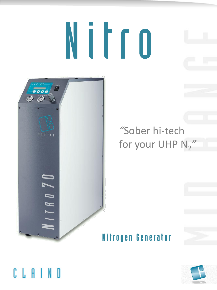# Nitro



## "Sober hi-tech for your UHP N<sub>2</sub>"

### Nitrogen Generator



## CLAIND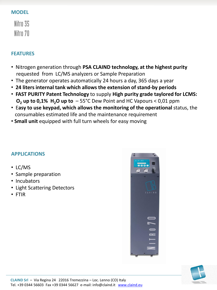#### **MODEL**

Nitro 35 Nitro 70

#### **FEATURES**

- Nitrogen generation through **PSA CLAIND technology, at the highest purity**  requested from LC/MS analyzers or Sample Preparation
- The generator operates automatically 24 hours a day, 365 days a year
- **24 liters internal tank which allows the extension of stand-by periods**
- **FAST PURITY Patent Technology** to supply **High purity grade taylored for LCMS: O<sub>2</sub>** up to  $0.1\%$  H<sub>2</sub>O up to  $-55\degree$ C Dew Point and HC Vapours < 0,01 ppm
- E**asy to use keypad, which allows the monitoring of the operational** status, the consumables estimated life and the maintenance requirement
- **Small unit** equipped with full turn wheels for easy moving

#### **APPLICATIONS**

- LC/MS
- Sample preparation
- Incubators
- Light Scattering Detectors
- FTIR



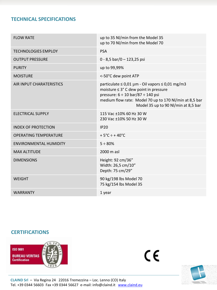#### **TECHNICAL SPECIFICATIONS**

| <b>FLOW RATE</b>              | up to 35 Nl/min from the Model 35<br>up to 70 Nl/min from the Model 70                                                                                                                                                                        |
|-------------------------------|-----------------------------------------------------------------------------------------------------------------------------------------------------------------------------------------------------------------------------------------------|
| <b>TECHNOLOGIES EMPLOY</b>    | <b>PSA</b>                                                                                                                                                                                                                                    |
| <b>OUTPUT PRESSURE</b>        | $0 - 8,5$ bar/0 - 123,25 psi                                                                                                                                                                                                                  |
| <b>PURITY</b>                 | up to 99,99%                                                                                                                                                                                                                                  |
| <b>MOISTURE</b>               | <-50°C dew point ATP                                                                                                                                                                                                                          |
| AIR INPUT CHARATERISTICS      | particulate $\leq 0.01 \mu m$ - Oil vapors $\leq 0.01 \ mg/m3$<br>moisture ≤ 3° C dew point in pressure<br>pressure: 6 ÷ 10 bar/87 ÷ 140 psi<br>medium flow rate: Model 70 up to 170 Nl/min at 8,5 bar<br>Model 35 up to 90 Nl/min at 8,5 bar |
| <b>ELECTRICAL SUPPLY</b>      | 115 Vac ±10% 60 Hz 30 W<br>230 Vac ±10% 50 Hz 30 W                                                                                                                                                                                            |
| <b>INDEX OF PROTECTION</b>    | IP20                                                                                                                                                                                                                                          |
| <b>OPERATING TEMPERATURE</b>  | $+5^{\circ}$ C ÷ + 40 $^{\circ}$ C                                                                                                                                                                                                            |
| <b>ENVIRONMENTAL HUMIDITY</b> | $5 \div 80\%$                                                                                                                                                                                                                                 |
| <b>MAX ALTITUDE</b>           | 2000 m asl                                                                                                                                                                                                                                    |
| <b>DIMENSIONS</b>             | Height: 92 cm/36"<br>Width: 26,5 cm/10"<br>Depth: 75 cm/29"                                                                                                                                                                                   |
| <b>WEIGHT</b>                 | 90 kg/198 lbs Model 70<br>75 kg/154 lbs Model 35                                                                                                                                                                                              |
| <b>WARRANTY</b>               | 1 year                                                                                                                                                                                                                                        |
|                               |                                                                                                                                                                                                                                               |

#### **CERTIFICATIONS**



 $\zeta$ 



**CLAIND Srl** – Via Regina 24 22016 Tremezzina – Loc. Lenno (CO) Italy Tel. +39 0344 56603 Fax +39 0344 56627 e-mail: info@claind.it [www.claind.eu](http://www.claind.eu/)